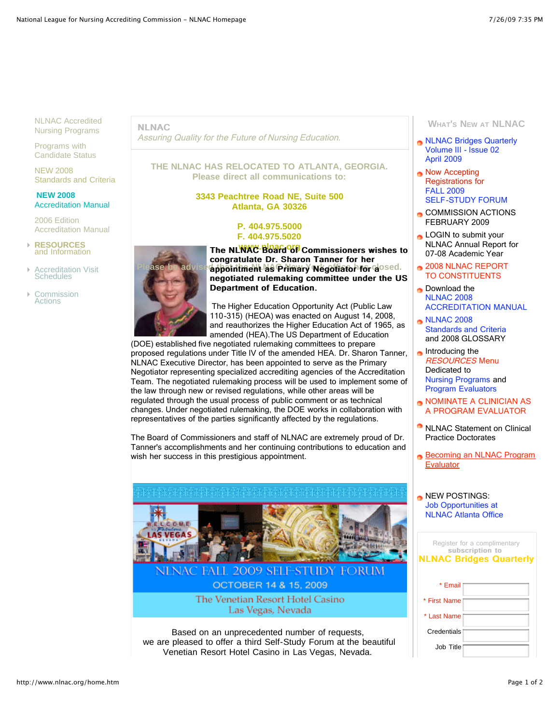NLNAC Accredited Nursing Programs

 Programs with Candidate Status

 NEW 2008 Standards and Criteria

 **NEW 2008** Accreditation Manual

 2006 Edition Accreditation Manual

 **RESOURCES** and Information

- Accreditation Visit Schedules
- Commission **Actions**

**NLNAC** Assuring Quality for the Future of Nursing Education.

**THE NLNAC HAS RELOCATED TO ATLANTA, GEORGIA. Please direct all communications to:**

> **3343 Peachtree Road NE, Suite 500 Atlanta, GA 30326**

## **P. 404.975.5000 F. 404.975.5020**

The NL<mark>WAC B<mark>oafd<sup>o</sup>ff</mark> Commissioners wishes to</mark> Please be advised ppointment as Primary Negotiator for dosed. negotiated rulemaking committee under the US congratulate Dr. Sharon Tanner for her Department of Education.

> The Higher Education Opportunity Act (Public Law 110-315) (HEOA) was enacted on August 14, 2008, and reauthorizes the Higher Education Act of 1965, as amended (HEA).The US Department of Education

(DOE) established five negotiated rulemaking committees to prepare proposed regulations under Title IV of the amended HEA. Dr. Sharon Tanner, NLNAC Executive Director, has been appointed to serve as the Primary Negotiator representing specialized accrediting agencies of the Accreditation Team. The negotiated rulemaking process will be used to implement some of the law through new or revised regulations, while other areas will be regulated through the usual process of public comment or as technical changes. Under negotiated rulemaking, the DOE works in collaboration with representatives of the parties significantly affected by the regulations.

The Board of Commissioners and staff of NLNAC are extremely proud of Dr. Tanner's accomplishments and her continuing contributions to education and wish her success in this prestigious appointment.



**OCTOBER 14 & 15, 2009** The Venetian Resort Hotel Casino

Las Vegas, Nevada

Based on an unprecedented number of requests, we are pleased to offer a third Self-Study Forum at the beautiful Venetian Resort Hotel Casino in Las Vegas, Nevada.

## **WHAT'S NEW AT NLNAC**

- **NLNAC Bridges Quarterly** Volume III - Issue 02 April 2009
- Now Accepting Registrations for FALL 2009 SELF-STUDY FORUM
- **COMMISSION ACTIONS** FEBRUARY 2009
- **LOGIN** to submit your NLNAC Annual Report for 07-08 Academic Year
- **2008 NLNAC REPORT** TO CONSTITUENTS
- **Download the** NLNAC 2008 ACCREDITATION MANUAL
- **NLNAC 2008** Standards and Criteria and 2008 GLOSSARY
- **n** Introducing the RESOURCES Menu Dedicated to Nursing Programs and Program Evaluators
- **NOMINATE A CLINICIAN AS** A PROGRAM EVALUATOR
- NLNAC Statement on Clinical Practice Doctorates
- Becoming an NLNAC Program **Evaluator**
- NEW POSTINGS: Job Opportunities at NLNAC Atlanta Office

|              | Register for a complimentary<br>subscription to<br><b>NLNAC Bridges Quarterly</b> |
|--------------|-----------------------------------------------------------------------------------|
| * Fmail      |                                                                                   |
| * First Name |                                                                                   |
| * Last Name  |                                                                                   |
| Credentials  |                                                                                   |
| Job Title    |                                                                                   |